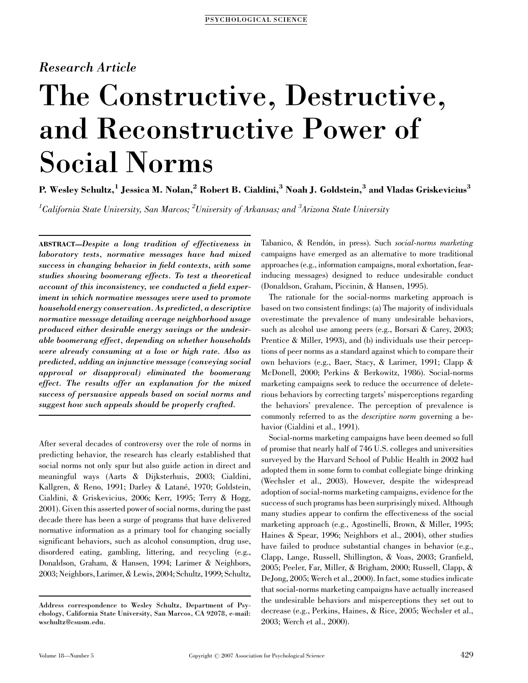# Research Article

# The Constructive, Destructive, and Reconstructive Power of Social Norms

P. Wesley Schultz,<sup>1</sup> Jessica M. Nolan,<sup>2</sup> Robert B. Cialdini,<sup>3</sup> Noah J. Goldstein,<sup>3</sup> and Vladas Griskevicius<sup>3</sup>

 $\rm ^1$ California State University, San Marcos;  $\rm ^2$ University of Arkansas; and  $\rm ^3$ Arizona State University

ABSTRACT—Despite a long tradition of effectiveness in laboratory tests, normative messages have had mixed success in changing behavior in field contexts, with some studies showing boomerang effects. To test a theoretical account of this inconsistency, we conducted a field experiment in which normative messages were used to promote household energy conservation. As predicted, a descriptive normative message detailing average neighborhood usage produced either desirable energy savings or the undesirable boomerang effect, depending on whether households were already consuming at a low or high rate. Also as predicted, adding an injunctive message (conveying social approval or disapproval) eliminated the boomerang effect. The results offer an explanation for the mixed success of persuasive appeals based on social norms and suggest how such appeals should be properly crafted.

After several decades of controversy over the role of norms in predicting behavior, the research has clearly established that social norms not only spur but also guide action in direct and meaningful ways (Aarts & Dijksterhuis, 2003; Cialdini, Kallgren, & Reno, 1991; Darley & Latané, 1970; Goldstein, Cialdini, & Griskevicius, 2006; Kerr, 1995; Terry & Hogg, 2001). Given this asserted power of social norms, during the past decade there has been a surge of programs that have delivered normative information as a primary tool for changing socially significant behaviors, such as alcohol consumption, drug use, disordered eating, gambling, littering, and recycling (e.g., Donaldson, Graham, & Hansen, 1994; Larimer & Neighbors, 2003; Neighbors, Larimer, & Lewis, 2004; Schultz, 1999; Schultz, Tabanico, & Rendón, in press). Such social-norms marketing campaigns have emerged as an alternative to more traditional approaches (e.g., information campaigns, moral exhortation, fearinducing messages) designed to reduce undesirable conduct (Donaldson, Graham, Piccinin, & Hansen, 1995).

The rationale for the social-norms marketing approach is based on two consistent findings: (a) The majority of individuals overestimate the prevalence of many undesirable behaviors, such as alcohol use among peers (e.g., Borsari & Carey, 2003; Prentice & Miller, 1993), and (b) individuals use their perceptions of peer norms as a standard against which to compare their own behaviors (e.g., Baer, Stacy, & Larimer, 1991; Clapp & McDonell, 2000; Perkins & Berkowitz, 1986). Social-norms marketing campaigns seek to reduce the occurrence of deleterious behaviors by correcting targets' misperceptions regarding the behaviors' prevalence. The perception of prevalence is commonly referred to as the descriptive norm governing a behavior (Cialdini et al., 1991).

Social-norms marketing campaigns have been deemed so full of promise that nearly half of 746 U.S. colleges and universities surveyed by the Harvard School of Public Health in 2002 had adopted them in some form to combat collegiate binge drinking (Wechsler et al., 2003). However, despite the widespread adoption of social-norms marketing campaigns, evidence for the success of such programs has been surprisingly mixed. Although many studies appear to confirm the effectiveness of the social marketing approach (e.g., Agostinelli, Brown, & Miller, 1995; Haines & Spear, 1996; Neighbors et al., 2004), other studies have failed to produce substantial changes in behavior (e.g., Clapp, Lange, Russell, Shillington, & Voas, 2003; Granfield, 2005; Peeler, Far, Miller, & Brigham, 2000; Russell, Clapp, & DeJong, 2005; Werch et al., 2000). In fact, some studies indicate that social-norms marketing campaigns have actually increased the undesirable behaviors and misperceptions they set out to decrease (e.g., Perkins, Haines, & Rice, 2005; Wechsler et al., 2003; Werch et al., 2000).

Address correspondence to Wesley Schultz, Department of Psychology, California State University, San Marcos, CA 92078, e-mail: wschultz@csusm.edu.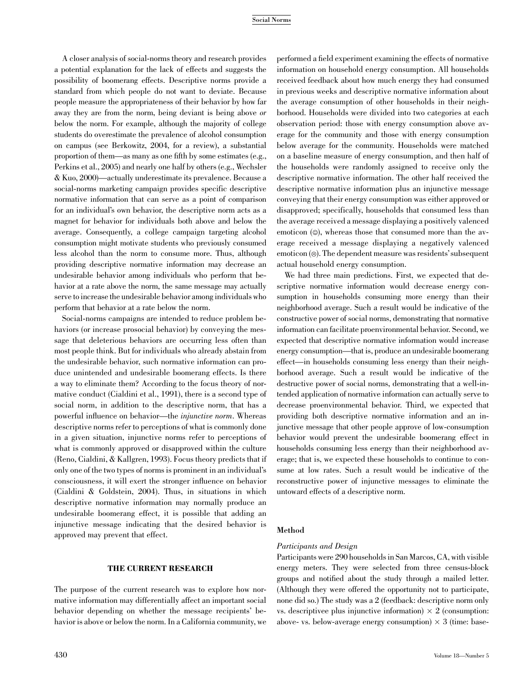A closer analysis of social-norms theory and research provides a potential explanation for the lack of effects and suggests the possibility of boomerang effects. Descriptive norms provide a standard from which people do not want to deviate. Because people measure the appropriateness of their behavior by how far away they are from the norm, being deviant is being above or below the norm. For example, although the majority of college students do overestimate the prevalence of alcohol consumption on campus (see Berkowitz, 2004, for a review), a substantial proportion of them—as many as one fifth by some estimates (e.g., Perkins et al., 2005) and nearly one half by others (e.g., Wechsler & Kuo, 2000)—actually underestimate its prevalence. Because a social-norms marketing campaign provides specific descriptive normative information that can serve as a point of comparison for an individual's own behavior, the descriptive norm acts as a magnet for behavior for individuals both above and below the average. Consequently, a college campaign targeting alcohol consumption might motivate students who previously consumed less alcohol than the norm to consume more. Thus, although providing descriptive normative information may decrease an undesirable behavior among individuals who perform that behavior at a rate above the norm, the same message may actually serve to increase the undesirable behavior among individuals who perform that behavior at a rate below the norm.

Social-norms campaigns are intended to reduce problem behaviors (or increase prosocial behavior) by conveying the message that deleterious behaviors are occurring less often than most people think. But for individuals who already abstain from the undesirable behavior, such normative information can produce unintended and undesirable boomerang effects. Is there a way to eliminate them? According to the focus theory of normative conduct (Cialdini et al., 1991), there is a second type of social norm, in addition to the descriptive norm, that has a powerful influence on behavior—the injunctive norm. Whereas descriptive norms refer to perceptions of what is commonly done in a given situation, injunctive norms refer to perceptions of what is commonly approved or disapproved within the culture (Reno, Cialdini, & Kallgren, 1993). Focus theory predicts that if only one of the two types of norms is prominent in an individual's consciousness, it will exert the stronger influence on behavior (Cialdini & Goldstein, 2004). Thus, in situations in which descriptive normative information may normally produce an undesirable boomerang effect, it is possible that adding an injunctive message indicating that the desired behavior is approved may prevent that effect.

# THE CURRENT RESEARCH

The purpose of the current research was to explore how normative information may differentially affect an important social behavior depending on whether the message recipients' behavior is above or below the norm. In a California community, we

performed a field experiment examining the effects of normative information on household energy consumption. All households received feedback about how much energy they had consumed in previous weeks and descriptive normative information about the average consumption of other households in their neighborhood. Households were divided into two categories at each observation period: those with energy consumption above average for the community and those with energy consumption below average for the community. Households were matched on a baseline measure of energy consumption, and then half of the households were randomly assigned to receive only the descriptive normative information. The other half received the descriptive normative information plus an injunctive message conveying that their energy consumption was either approved or disapproved; specifically, households that consumed less than the average received a message displaying a positively valenced emoticon  $\circledcirc$ , whereas those that consumed more than the average received a message displaying a negatively valenced  $emotion (  $\circledcirc$ ). The dependent measure was residents' subsequent$ actual household energy consumption.

We had three main predictions. First, we expected that descriptive normative information would decrease energy consumption in households consuming more energy than their neighborhood average. Such a result would be indicative of the constructive power of social norms, demonstrating that normative information can facilitate proenvironmental behavior. Second, we expected that descriptive normative information would increase energy consumption—that is, produce an undesirable boomerang effect—in households consuming less energy than their neighborhood average. Such a result would be indicative of the destructive power of social norms, demonstrating that a well-intended application of normative information can actually serve to decrease proenvironmental behavior. Third, we expected that providing both descriptive normative information and an injunctive message that other people approve of low-consumption behavior would prevent the undesirable boomerang effect in households consuming less energy than their neighborhood average; that is, we expected these households to continue to consume at low rates. Such a result would be indicative of the reconstructive power of injunctive messages to eliminate the untoward effects of a descriptive norm.

# Method

# Participants and Design

Participants were 290 households in San Marcos, CA, with visible energy meters. They were selected from three census-block groups and notified about the study through a mailed letter. (Although they were offered the opportunity not to participate, none did so.) The study was a 2 (feedback: descriptive norm only vs. descriptivee plus injunctive information)  $\times$  2 (consumption: above- vs. below-average energy consumption)  $\times$  3 (time: base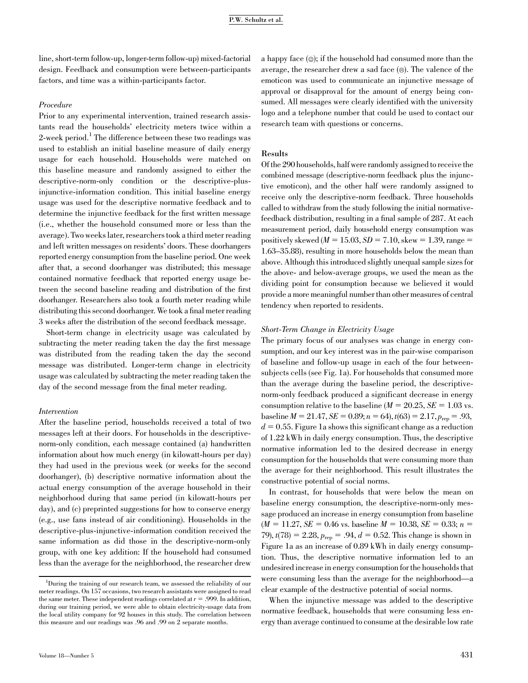line, short-term follow-up, longer-term follow-up) mixed-factorial design. Feedback and consumption were between-participants factors, and time was a within-participants factor.

# Procedure

Prior to any experimental intervention, trained research assistants read the households' electricity meters twice within a 2-week period.<sup>1</sup> The difference between these two readings was used to establish an initial baseline measure of daily energy usage for each household. Households were matched on this baseline measure and randomly assigned to either the descriptive-norm-only condition or the descriptive-plusinjunctive-information condition. This initial baseline energy usage was used for the descriptive normative feedback and to determine the injunctive feedback for the first written message (i.e., whether the household consumed more or less than the average). Two weeks later, researchers took a third meter reading and left written messages on residents' doors. These doorhangers reported energy consumption from the baseline period. One week after that, a second doorhanger was distributed; this message contained normative feedback that reported energy usage between the second baseline reading and distribution of the first doorhanger. Researchers also took a fourth meter reading while distributing this second doorhanger. We took a final meter reading 3 weeks after the distribution of the second feedback message.

Short-term change in electricity usage was calculated by subtracting the meter reading taken the day the first message was distributed from the reading taken the day the second message was distributed. Longer-term change in electricity usage was calculated by subtracting the meter reading taken the day of the second message from the final meter reading.

#### Intervention

After the baseline period, households received a total of two messages left at their doors. For households in the descriptivenorm-only condition, each message contained (a) handwritten information about how much energy (in kilowatt-hours per day) they had used in the previous week (or weeks for the second doorhanger), (b) descriptive normative information about the actual energy consumption of the average household in their neighborhood during that same period (in kilowatt-hours per day), and (c) preprinted suggestions for how to conserve energy (e.g., use fans instead of air conditioning). Households in the descriptive-plus-injunctive-information condition received the same information as did those in the descriptive-norm-only group, with one key addition: If the household had consumed less than the average for the neighborhood, the researcher drew

a happy face  $\circledcirc$ ; if the household had consumed more than the average, the researcher drew a sad face  $(\circledcirc)$ . The valence of the emoticon was used to communicate an injunctive message of approval or disapproval for the amount of energy being consumed. All messages were clearly identified with the university logo and a telephone number that could be used to contact our research team with questions or concerns.

#### Results

Of the 290 households, half were randomly assigned to receive the combined message (descriptive-norm feedback plus the injunctive emoticon), and the other half were randomly assigned to receive only the descriptive-norm feedback. Three households called to withdraw from the study following the initial normativefeedback distribution, resulting in a final sample of 287. At each measurement period, daily household energy consumption was positively skewed ( $M = 15.03$ ,  $SD = 7.10$ , skew = 1.39, range = 1.63–35.88), resulting in more households below the mean than above. Although this introduced slightly unequal sample sizes for the above- and below-average groups, we used the mean as the dividing point for consumption because we believed it would provide a more meaningful number than other measures of central tendency when reported to residents.

#### Short-Term Change in Electricity Usage

The primary focus of our analyses was change in energy consumption, and our key interest was in the pair-wise comparison of baseline and follow-up usage in each of the four betweensubjects cells (see Fig. 1a). For households that consumed more than the average during the baseline period, the descriptivenorm-only feedback produced a significant decrease in energy consumption relative to the baseline ( $M = 20.25$ ,  $SE = 1.03$  vs. baseline  $M = 21.47$ ,  $SE = 0.89$ ;  $n = 64$ ),  $t(63) = 2.17$ ,  $p_{rep} = .93$ ,  $d = 0.55$ . Figure 1a shows this significant change as a reduction of 1.22 kWh in daily energy consumption. Thus, the descriptive normative information led to the desired decrease in energy consumption for the households that were consuming more than the average for their neighborhood. This result illustrates the constructive potential of social norms.

In contrast, for households that were below the mean on baseline energy consumption, the descriptive-norm-only message produced an increase in energy consumption from baseline  $(M = 11.27, SE = 0.46$  vs. baseline  $M = 10.38, SE = 0.33; n = 10.38$ 79),  $t(78) = 2.28$ ,  $p_{\text{rep}} = .94$ ,  $d = 0.52$ . This change is shown in Figure 1a as an increase of 0.89 kWh in daily energy consumption. Thus, the descriptive normative information led to an undesired increase in energy consumption for the households that were consuming less than the average for the neighborhood—a clear example of the destructive potential of social norms.

When the injunctive message was added to the descriptive normative feedback, households that were consuming less energy than average continued to consume at the desirable low rate

<sup>&</sup>lt;sup>1</sup>During the training of our research team, we assessed the reliability of our meter readings. On 157 occasions, two research assistants were assigned to read the same meter. These independent readings correlated at  $r = .999$ . In addition, during our training period, we were able to obtain electricity-usage data from the local utility company for 92 houses in this study. The correlation between this measure and our readings was .96 and .99 on 2 separate months.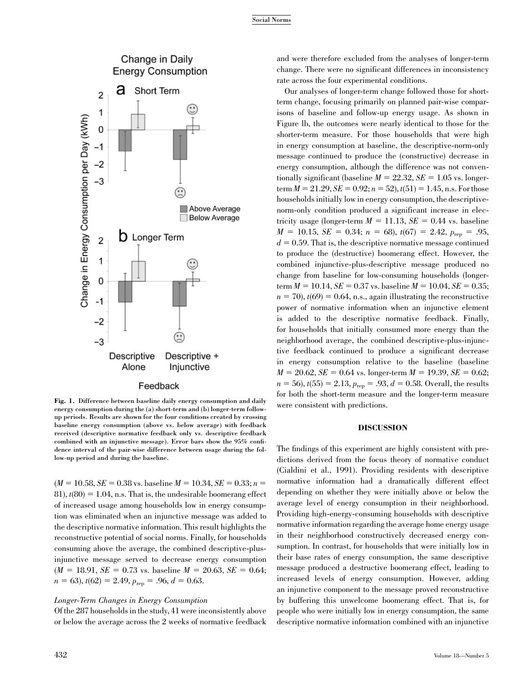

Fig. 1. Difference between baseline daily energy consumption and daily energy consumption during the (a) short-term and (b) longer-term followup periods. Results are shown for the four conditions created by crossing baseline energy consumption (above vs. below average) with feedback received (descriptive normative feedback only vs. descriptive feedback combined with an injunctive message). Error bars show the 95% confidence interval of the pair-wise difference between usage during the follow-up period and during the baseline.

 $(M = 10.58, SE = 0.38$  vs. baseline  $M = 10.34, SE = 0.33; n = 10.58$ 81),  $t(80) = 1.04$ , n.s. That is, the undesirable boomerang effect of increased usage among households low in energy consumption was eliminated when an injunctive message was added to the descriptive normative information. This result highlights the reconstructive potential of social norms. Finally, for households consuming above the average, the combined descriptive-plusinjunctive message served to decrease energy consumption  $(M = 18.91, SE = 0.73$  vs. baseline  $M = 20.63, SE = 0.64;$  $n = 63$ ,  $t(62) = 2.49$ ,  $p_{rep} = .96$ ,  $d = 0.63$ .

#### Longer-Term Changes in Energy Consumption

Of the 287 households in the study, 41 were inconsistently above or below the average across the 2 weeks of normative feedback

and were therefore excluded from the analyses of longer-term change. There were no significant differences in inconsistency rate across the four experimental conditions.

Our analyses of longer-term change followed those for shortterm change, focusing primarily on planned pair-wise comparisons of baseline and follow-up energy usage. As shown in Figure lb, the outcomes were nearly identical to those for the shorter-term measure. For those households that were high in energy consumption at baseline, the descriptive-norm-only message continued to produce the (constructive) decrease in energy consumption, although the difference was not conventionally significant (baseline  $M = 22.32$ ,  $SE = 1.05$  vs. longerterm  $M = 21.29$ ,  $SE = 0.92$ ;  $n = 52$ ),  $t(51) = 1.45$ , n.s. For those households initially low in energy consumption, the descriptivenorm-only condition produced a significant increase in electricity usage (longer-term  $M = 11.13$ ,  $SE = 0.44$  vs. baseline  $M = 10.15$ ,  $SE = 0.34$ ;  $n = 68$ ),  $t(67) = 2.42$ ,  $p_{\text{rep}} = .95$ ,  $d = 0.59$ . That is, the descriptive normative message continued to produce the (destructive) boomerang effect. However, the combined injunctive-plus-descriptive message produced no change from baseline for low-consuming households (longerterm  $M = 10.14$ ,  $SE = 0.37$  vs. baseline  $M = 10.04$ ,  $SE = 0.35$ ;  $n = 70$ ,  $t(69) = 0.64$ , n.s., again illustrating the reconstructive power of normative information when an injunctive element is added to the descriptive normative feedback. Finally, for households that initially consumed more energy than the neighborhood average, the combined descriptive-plus-injunctive feedback continued to produce a significant decrease in energy consumption relative to the baseline (baseline  $M = 20.62$ ,  $SE = 0.64$  vs. longer-term  $M = 19.39$ ,  $SE = 0.62$ ;  $n = 56$ ,  $t(55) = 2.13$ ,  $p_{\text{rep}} = .93$ ,  $d = 0.58$ . Overall, the results for both the short-term measure and the longer-term measure were consistent with predictions.

#### DISCUSSION

The findings of this experiment are highly consistent with predictions derived from the focus theory of normative conduct (Cialdini et al., 1991). Providing residents with descriptive normative information had a dramatically different effect depending on whether they were initially above or below the average level of energy consumption in their neighborhood. Providing high-energy-consuming households with descriptive normative information regarding the average home energy usage in their neighborhood constructively decreased energy consumption. In contrast, for households that were initially low in their base rates of energy consumption, the same descriptive message produced a destructive boomerang effect, leading to increased levels of energy consumption. However, adding an injunctive component to the message proved reconstructive by buffering this unwelcome boomerang effect. That is, for people who were initially low in energy consumption, the same descriptive normative information combined with an injunctive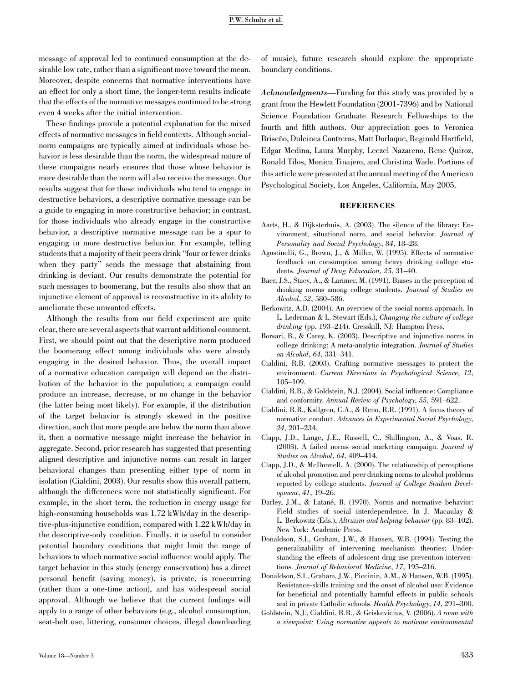message of approval led to continued consumption at the desirable low rate, rather than a significant move toward the mean. Moreover, despite concerns that normative interventions have an effect for only a short time, the longer-term results indicate that the effects of the normative messages continued to be strong even 4 weeks after the initial intervention.

These findings provide a potential explanation for the mixed effects of normative messages in field contexts. Although socialnorm campaigns are typically aimed at individuals whose behavior is less desirable than the norm, the widespread nature of these campaigns nearly ensures that those whose behavior is more desirable than the norm will also receive the message. Our results suggest that for those individuals who tend to engage in destructive behaviors, a descriptive normative message can be a guide to engaging in more constructive behavior; in contrast, for those individuals who already engage in the constructive behavior, a descriptive normative message can be a spur to engaging in more destructive behavior. For example, telling students that a majority of their peers drink ''four or fewer drinks when they party'' sends the message that abstaining from drinking is deviant. Our results demonstrate the potential for such messages to boomerang, but the results also show that an injunctive element of approval is reconstructive in its ability to ameliorate these unwanted effects.

Although the results from our field experiment are quite clear, there are several aspects that warrant additional comment. First, we should point out that the descriptive norm produced the boomerang effect among individuals who were already engaging in the desired behavior. Thus, the overall impact of a normative education campaign will depend on the distribution of the behavior in the population; a campaign could produce an increase, decrease, or no change in the behavior (the latter being most likely). For example, if the distribution of the target behavior is strongly skewed in the positive direction, such that more people are below the norm than above it, then a normative message might increase the behavior in aggregate. Second, prior research has suggested that presenting aligned descriptive and injunctive norms can result in larger behavioral changes than presenting either type of norm in isolation (Cialdini, 2003). Our results show this overall pattern, although the differences were not statistically significant. For example, in the short term, the reduction in energy usage for high-consuming households was 1.72 kWh/day in the descriptive-plus-injunctive condition, compared with 1.22 kWh/day in the descriptive-only condition. Finally, it is useful to consider potential boundary conditions that might limit the range of behaviors to which normative social influence would apply. The target behavior in this study (energy conservation) has a direct personal benefit (saving money), is private, is reoccurring (rather than a one-time action), and has widespread social approval. Although we believe that the current findings will apply to a range of other behaviors (e.g., alcohol consumption, seat-belt use, littering, consumer choices, illegal downloading Acknowledgments—Funding for this study was provided by a grant from the Hewlett Foundation (2001-7396) and by National Science Foundation Graduate Research Fellowships to the fourth and fifth authors. Our appreciation goes to Veronica Briseño, Dulcinea Contreras, Matt Dorlaque, Reginald Hartfield, Edgar Medina, Laura Murphy, Leezel Nazareno, Rene Quiroz, Ronald Tilos, Monica Tinajero, and Christina Wade. Portions of this article were presented at the annual meeting of the American Psychological Society, Los Angeles, California, May 2005.

### **REFERENCES**

- Aarts, H., & Dijksterhuis, A. (2003). The silence of the library: Environment, situational norm, and social behavior. Journal of Personality and Social Psychology, 84, 18–28.
- Agostinelli, G., Brown, J., & Miller, W. (1995). Effects of normative feedback on consumption among heavy drinking college students. Journal of Drug Education, 25, 31–40.
- Baer, J.S., Stacy, A., & Larimer, M. (1991). Biases in the perception of drinking norms among college students. Journal of Studies on Alcohol, 52, 580–586.
- Berkowitz, A.D. (2004). An overview of the social norms approach. In L. Lederman & L. Stewart (Eds.), Changing the culture of college drinking (pp. 193–214). Cresskill, NJ: Hampton Press.
- Borsari, B., & Carey, K. (2003). Descriptive and injunctive norms in college drinking: A meta-analytic integration. Journal of Studies on Alcohol, 64, 331–341.
- Cialdini, R.B. (2003). Crafting normative messages to protect the environment. Current Directions in Psychological Science, 12, 105–109.
- Cialdini, R.B., & Goldstein, N.J. (2004). Social influence: Compliance and conformity. Annual Review of Psychology, 55, 591–622.
- Cialdini, R.B., Kallgren, C.A., & Reno, R.R. (1991). A focus theory of normative conduct. Advances in Experimental Social Psychology, 24, 201–234.
- Clapp, J.D., Lange, J.E., Russell, C., Shillington, A., & Voas, R. (2003). A failed norms social marketing campaign. Journal of Studies on Alcohol, 64, 409–414.
- Clapp, J.D., & McDonnell, A. (2000). The relationship of perceptions of alcohol promotion and peer drinking norms to alcohol problems reported by college students. Journal of College Student Development, 41, 19–26.
- Darley, J.M., & Latané, B. (1970). Norms and normative behavior: Field studies of social interdependence. In J. Macaulay & L. Berkowitz (Eds.), Altruism and helping behavior (pp. 83–102). New York: Academic Press.
- Donaldson, S.I., Graham, J.W., & Hansen, W.B. (1994). Testing the generalizability of intervening mechanism theories: Understanding the effects of adolescent drug use prevention interventions. Journal of Behavioral Medicine, 17, 195–216.
- Donaldson, S.I., Graham, J.W., Piccinin, A.M., & Hansen, W.B. (1995). Resistance-skills training and the onset of alcohol use: Evidence for beneficial and potentially harmful effects in public schools and in private Catholic schools. Health Psychology, 14, 291–300.
- Goldstein, N.J., Cialdini, R.B., & Griskevicius, V. (2006). A room with a viewpoint: Using normative appeals to motivate environmental